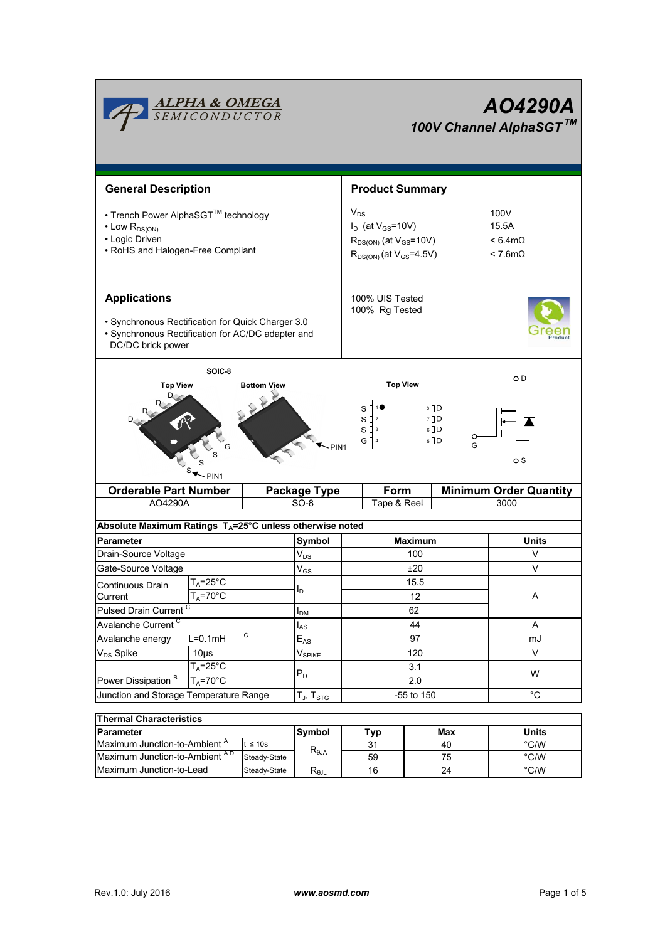|                                                                                                                                                                                                                                 | <b>ALPHA &amp; OMEGA</b><br>SEMICONDUCTOR |              | A04290A<br>100V Channel AlphaSGT™                                                                           |                        |                                                    |                                  |  |
|---------------------------------------------------------------------------------------------------------------------------------------------------------------------------------------------------------------------------------|-------------------------------------------|--------------|-------------------------------------------------------------------------------------------------------------|------------------------|----------------------------------------------------|----------------------------------|--|
| <b>General Description</b>                                                                                                                                                                                                      |                                           |              |                                                                                                             | <b>Product Summary</b> |                                                    |                                  |  |
| • Trench Power AlphaSGT™ technology<br>$\cdot$ Low $R_{DS(ON)}$<br>• Logic Driven<br>• RoHS and Halogen-Free Compliant                                                                                                          |                                           |              | $V_{DS}$<br>$I_D$ (at $V_{GS}$ =10V)<br>$R_{DS(ON)}$ (at $V_{GS}$ =10V)<br>$R_{DS(ON)}$ (at $V_{GS}$ =4.5V) |                        | 100V<br>15.5A<br>$< 6.4 m\Omega$<br>$< 7.6m\Omega$ |                                  |  |
| <b>Applications</b><br>· Synchronous Rectification for Quick Charger 3.0<br>· Synchronous Rectification for AC/DC adapter and<br>DC/DC brick power                                                                              |                                           |              | 100% UIS Tested<br>100% Rg Tested                                                                           |                        |                                                    |                                  |  |
| SOIC-8<br>Q D<br><b>Top View</b><br><b>Top View</b><br><b>Bottom View</b><br>8 D<br>s [<br>$S \parallel$ 2<br>7 D<br>$6$ D<br>sП<br>$\mathsf 3$<br>G ∏ 4<br>5 D D<br>G<br>$\sim$ PIN1<br><sub>S</sub><br>$\nightharpoonup$ PIN1 |                                           |              |                                                                                                             |                        |                                                    |                                  |  |
| <b>Orderable Part Number</b>                                                                                                                                                                                                    |                                           |              |                                                                                                             |                        |                                                    |                                  |  |
| AO4290A                                                                                                                                                                                                                         |                                           |              | <b>Package Type</b>                                                                                         | Form                   |                                                    | <b>Minimum Order Quantity</b>    |  |
|                                                                                                                                                                                                                                 |                                           |              | $SO-8$                                                                                                      | Tape & Reel            |                                                    | 3000                             |  |
|                                                                                                                                                                                                                                 |                                           |              |                                                                                                             |                        |                                                    |                                  |  |
| Absolute Maximum Ratings T <sub>A</sub> =25°C unless otherwise noted                                                                                                                                                            |                                           |              |                                                                                                             |                        |                                                    |                                  |  |
| <b>Parameter</b>                                                                                                                                                                                                                |                                           |              | Symbol                                                                                                      |                        | <b>Maximum</b><br>100                              | Units<br>V                       |  |
| Drain-Source Voltage                                                                                                                                                                                                            |                                           |              | $\mathsf{V}_{\mathsf{DS}}$                                                                                  |                        | ±20                                                | V                                |  |
| Gate-Source Voltage                                                                                                                                                                                                             | $T_{\text{A}} = 25^{\circ}C$              |              | $\mathsf{V}_{\mathsf{GS}}$                                                                                  |                        | 15.5                                               |                                  |  |
| Continuous Drain<br>Current                                                                                                                                                                                                     | $T_A = 70$ °C                             |              | ı <sub>D</sub>                                                                                              |                        | 12                                                 | Α                                |  |
| Pulsed Drain Current <sup>C</sup>                                                                                                                                                                                               |                                           |              |                                                                                                             |                        | 62                                                 |                                  |  |
| Avalanche Current <sup>C</sup>                                                                                                                                                                                                  |                                           |              | I <sub>DM</sub>                                                                                             |                        | 44                                                 | Α                                |  |
| Avalanche energy                                                                                                                                                                                                                | $L=0.1mH$                                 | C            | $I_{AS}$<br>$E_{AS}$                                                                                        |                        | 97                                                 | mJ                               |  |
| V <sub>DS</sub> Spike                                                                                                                                                                                                           | $10\mus$                                  |              |                                                                                                             |                        | 120                                                | V                                |  |
|                                                                                                                                                                                                                                 | $T_A = 25^\circ C$                        |              | $\mathsf{V}_{\mathsf{SPIKE}}$                                                                               |                        | 3.1                                                |                                  |  |
| Power Dissipation <sup>B</sup>                                                                                                                                                                                                  | $T_A = 70$ °C                             |              | $P_D$                                                                                                       |                        | 2.0                                                | W                                |  |
| Junction and Storage Temperature Range                                                                                                                                                                                          |                                           |              | $T_{J}$ , $T_{STG}$                                                                                         |                        | -55 to 150                                         | $^{\circ}$ C                     |  |
|                                                                                                                                                                                                                                 |                                           |              |                                                                                                             |                        |                                                    |                                  |  |
| <b>Thermal Characteristics</b>                                                                                                                                                                                                  |                                           |              |                                                                                                             |                        |                                                    |                                  |  |
| <b>Parameter</b>                                                                                                                                                                                                                |                                           | $t \leq 10s$ | Symbol                                                                                                      | Typ                    | Max<br>40                                          | <b>Units</b>                     |  |
| Maximum Junction-to-Ambient <sup>A</sup><br>Maximum Junction-to-Ambient AD                                                                                                                                                      |                                           | Steady-State | $\mathsf{R}_{\scriptscriptstyle\theta\mathsf{JA}}$                                                          | 31<br>59               | 75                                                 | $^{\circ}$ C/W<br>$^{\circ}$ C/W |  |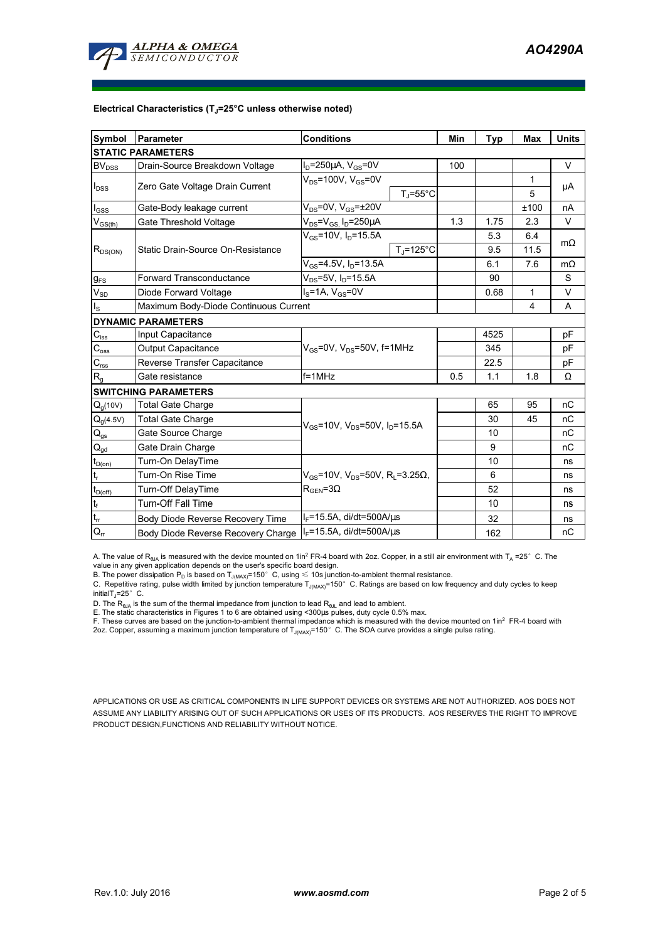

## **Electrical Characteristics (TJ=25°C unless otherwise noted)**

| Symbol                                 | <b>Parameter</b>                                                      | <b>Conditions</b>                                                           | Min | Typ  | <b>Max</b>     | <b>Units</b> |  |  |  |  |  |
|----------------------------------------|-----------------------------------------------------------------------|-----------------------------------------------------------------------------|-----|------|----------------|--------------|--|--|--|--|--|
| <b>STATIC PARAMETERS</b>               |                                                                       |                                                                             |     |      |                |              |  |  |  |  |  |
| <b>BV</b> <sub>DSS</sub>               | Drain-Source Breakdown Voltage                                        | $I_D = 250 \mu A$ , $V_{GS} = 0V$                                           | 100 |      |                | $\vee$       |  |  |  |  |  |
| $I_{DSS}$                              | Zero Gate Voltage Drain Current                                       | $V_{DS}$ =100V, $V_{GS}$ =0V                                                |     |      | 1              |              |  |  |  |  |  |
|                                        |                                                                       | $T_{J}$ =55°C                                                               |     |      | 5              | μA           |  |  |  |  |  |
| $I_{\rm GSS}$                          | Gate-Body leakage current                                             | $V_{DS}$ =0V, $V_{GS}$ = $\pm$ 20V                                          |     |      | ±100           | nA           |  |  |  |  |  |
| $V_{GS(th)}$                           | Gate Threshold Voltage                                                | $V_{DS} = V_{GS} I_D = 250 \mu A$                                           | 1.3 | 1.75 | 2.3            | V            |  |  |  |  |  |
| $R_{DS(ON)}$                           | Static Drain-Source On-Resistance                                     | $V_{GS}$ =10V, I <sub>D</sub> =15.5A                                        |     | 5.3  | 6.4            | $m\Omega$    |  |  |  |  |  |
|                                        |                                                                       | $T_{\rm J}$ =125°C                                                          |     | 9.5  | 11.5           |              |  |  |  |  |  |
|                                        |                                                                       | $V_{GS}$ =4.5V, $I_D$ =13.5A                                                |     | 6.1  | 7.6            | $m\Omega$    |  |  |  |  |  |
| $g_{FS}$                               | <b>Forward Transconductance</b>                                       | $V_{DS} = 5V$ , I <sub>D</sub> =15.5A                                       |     | 90   |                | S            |  |  |  |  |  |
| $V_{SD}$                               | Diode Forward Voltage                                                 | $I_S = 1A$ , $V_{GS} = 0V$                                                  |     | 0.68 | $\mathbf{1}$   | V            |  |  |  |  |  |
| $I_{\rm S}$                            | Maximum Body-Diode Continuous Current                                 |                                                                             |     |      | $\overline{4}$ | A            |  |  |  |  |  |
|                                        | <b>DYNAMIC PARAMETERS</b>                                             |                                                                             |     |      |                |              |  |  |  |  |  |
| $C_{\mathsf{iss}}$                     | Input Capacitance                                                     |                                                                             |     | 4525 |                | pF           |  |  |  |  |  |
| $\mathrm{C_{oss}}$                     | Output Capacitance                                                    | $V_{GS}$ =0V, $V_{DS}$ =50V, f=1MHz                                         |     | 345  |                | pF           |  |  |  |  |  |
| $\mathbf{C}_{\text{rss}}$              | Reverse Transfer Capacitance                                          |                                                                             |     | 22.5 |                | pF           |  |  |  |  |  |
| $R_{g}$                                | Gate resistance                                                       | $f = 1$ MHz                                                                 | 0.5 | 1.1  | 1.8            | Ω            |  |  |  |  |  |
|                                        | <b>SWITCHING PARAMETERS</b>                                           |                                                                             |     |      |                |              |  |  |  |  |  |
| $Q_q(10V)$                             | <b>Total Gate Charge</b>                                              |                                                                             |     | 65   | 95             | nC           |  |  |  |  |  |
| $Q_g(4.5V)$                            | <b>Total Gate Charge</b>                                              | $V_{GS}$ =10V, $V_{DS}$ =50V, $I_{D}$ =15.5A                                |     | 30   | 45             | nC           |  |  |  |  |  |
| $Q_{gs}$                               | Gate Source Charge                                                    |                                                                             |     | 10   |                | nC           |  |  |  |  |  |
| $\mathsf{Q}_{\underline{\mathsf{gd}}}$ | Gate Drain Charge                                                     |                                                                             |     | 9    |                | nC           |  |  |  |  |  |
| $t_{D(0n)}$                            | Turn-On DelayTime                                                     |                                                                             |     | 10   |                | ns           |  |  |  |  |  |
| lt,                                    | Turn-On Rise Time                                                     | $V_{\text{GS}}$ =10V, V <sub>DS</sub> =50V, R <sub>1</sub> =3.25 $\Omega$ , |     | 6    |                | ns           |  |  |  |  |  |
| $t_{D(off)}$                           | Turn-Off DelayTime                                                    | $R_{\text{GEN}} = 3\Omega$                                                  |     | 52   |                | ns           |  |  |  |  |  |
| $\mathbf{t}_\text{f}$                  | <b>Turn-Off Fall Time</b>                                             |                                                                             |     | 10   |                | ns           |  |  |  |  |  |
| $t_{\rm rr}$                           | $I_F$ =15.5A, di/dt=500A/ $\mu$ s<br>Body Diode Reverse Recovery Time |                                                                             |     | 32   |                | ns           |  |  |  |  |  |
| $Q_{rr}$                               | Body Diode Reverse Recovery Charge                                    | I <sub>F</sub> =15.5A, di/dt=500A/μs                                        |     | 162  |                | nC           |  |  |  |  |  |

A. The value of R<sub>BJA</sub> is measured with the device mounted on 1in<sup>2</sup> FR-4 board with 2oz. Copper, in a still air environment with T<sub>A</sub> =25° C. The value in any given application depends on the user's specific board design.

B. The power dissipation  ${\sf P}_{\sf D}$  is based on  ${\sf T}_{\sf J(MAX)}$ =150 $^\circ\,$  C, using  $\leqslant$  10s junction-to-ambient thermal resistance.

C. Repetitive rating, pulse width limited by junction temperature T<sub>J(MAX)</sub>=150°C. Ratings are based on low frequency and duty cycles to keep

initialT $\overline{I}$ =25° C.

D. The R<sub>®JA</sub> is the sum of the thermal impedance from junction to lead R<sub>®JL</sub> and lead to ambient.<br>E. The static characteristics in Figures 1 to 6 are obtained using <300µs pulses, duty cycle 0.5% max.<br>F. These curves ar

2oz. Copper, assuming a maximum junction temperature of  $T_{J(MAX)}$ =150°C. The SOA curve provides a single pulse rating.

APPLICATIONS OR USE AS CRITICAL COMPONENTS IN LIFE SUPPORT DEVICES OR SYSTEMS ARE NOT AUTHORIZED. AOS DOES NOT ASSUME ANY LIABILITY ARISING OUT OF SUCH APPLICATIONS OR USES OF ITS PRODUCTS. AOS RESERVES THE RIGHT TO IMPROVE PRODUCT DESIGN,FUNCTIONS AND RELIABILITY WITHOUT NOTICE.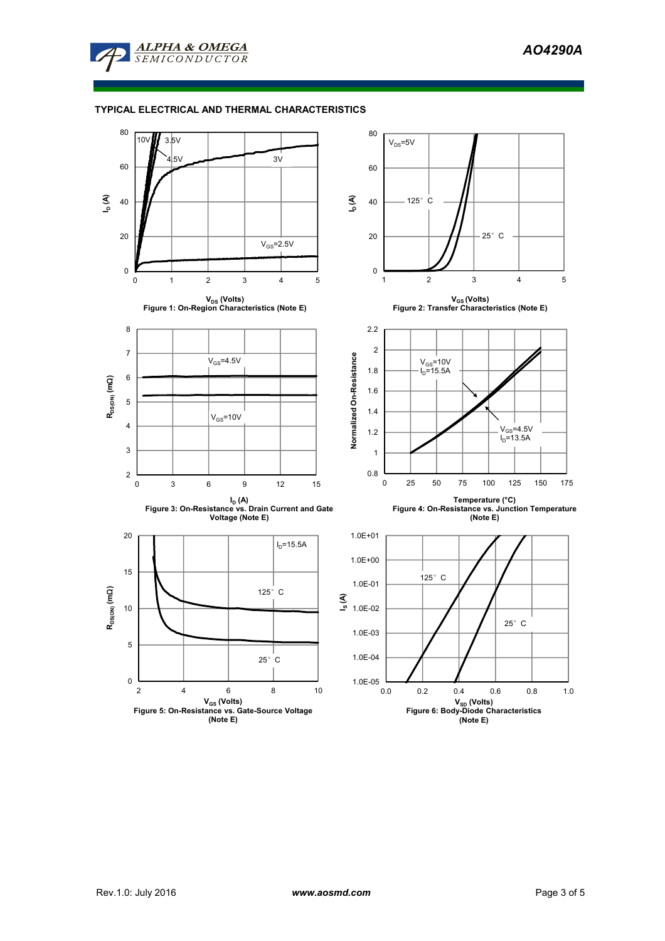

## **TYPICAL ELECTRICAL AND THERMAL CHARACTERISTICS**

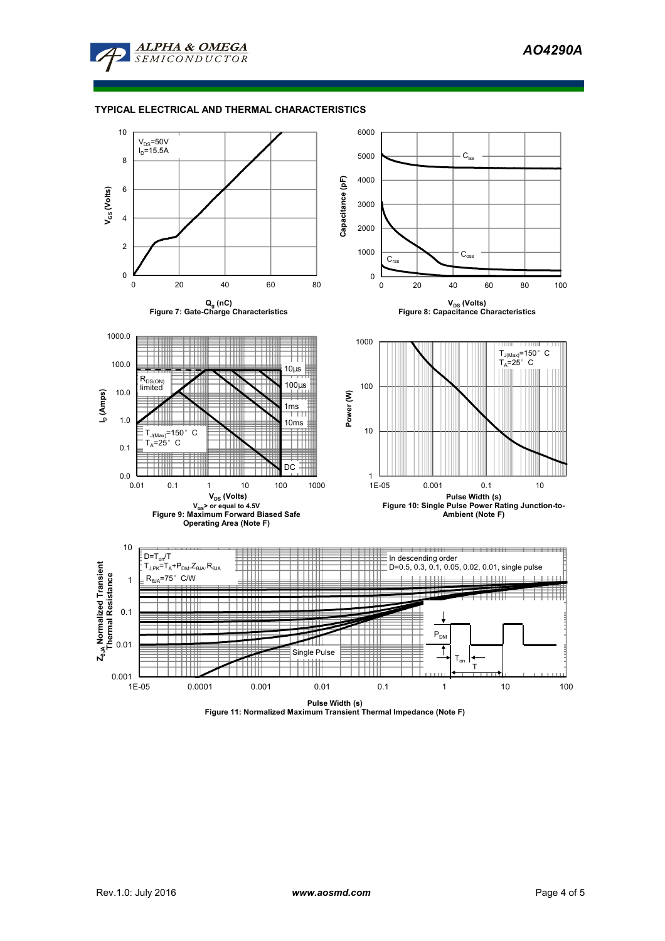

## **TYPICAL ELECTRICAL AND THERMAL CHARACTERISTICS**



**Pulse Width (s) Figure 11: Normalized Maximum Transient Thermal Impedance (Note F)**